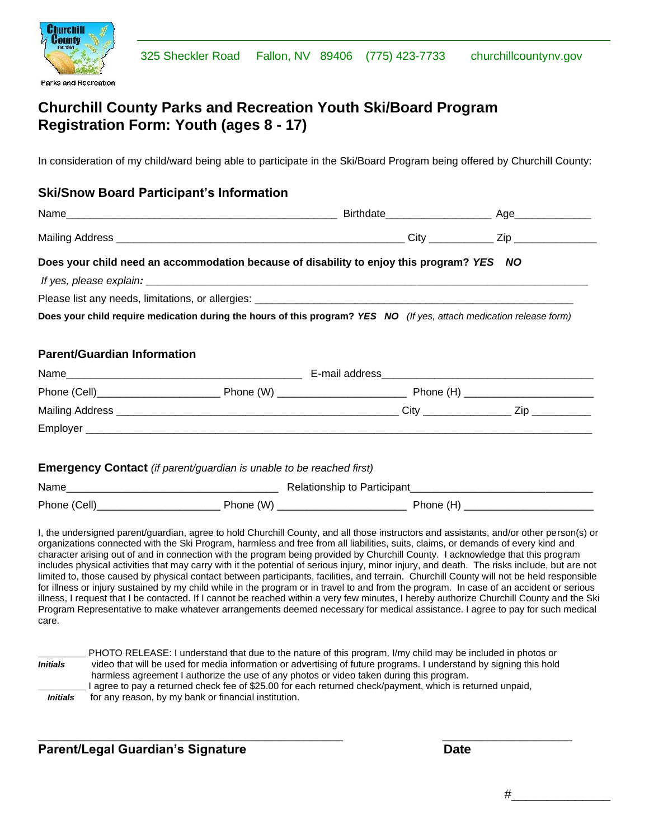

## **Churchill County Parks and Recreation Youth Ski/Board Program Registration Form: Youth (ages 8 - 17)**

In consideration of my child/ward being able to participate in the Ski/Board Program being offered by Churchill County:

#### **Ski/Snow Board Participant's Information**

Ī

|                                    | Does your child need an accommodation because of disability to enjoy this program? YES NO                            |  |  |  |
|------------------------------------|----------------------------------------------------------------------------------------------------------------------|--|--|--|
|                                    |                                                                                                                      |  |  |  |
|                                    |                                                                                                                      |  |  |  |
|                                    | Does your child require medication during the hours of this program? YES NO (If yes, attach medication release form) |  |  |  |
|                                    |                                                                                                                      |  |  |  |
| <b>Parent/Guardian Information</b> |                                                                                                                      |  |  |  |
|                                    |                                                                                                                      |  |  |  |
|                                    |                                                                                                                      |  |  |  |
|                                    |                                                                                                                      |  |  |  |
|                                    |                                                                                                                      |  |  |  |
|                                    |                                                                                                                      |  |  |  |
|                                    | <b>Emergency Contact</b> (if parent/guardian is unable to be reached first)                                          |  |  |  |
|                                    |                                                                                                                      |  |  |  |
|                                    |                                                                                                                      |  |  |  |

organizations connected with the Ski Program, harmless and free from all liabilities, suits, claims, or demands of every kind and character arising out of and in connection with the program being provided by Churchill County. I acknowledge that this program includes physical activities that may carry with it the potential of serious injury, minor injury, and death. The risks include, but are not limited to, those caused by physical contact between participants, facilities, and terrain. Churchill County will not be held responsible for illness or injury sustained by my child while in the program or in travel to and from the program. In case of an accident or serious illness, I request that I be contacted. If I cannot be reached within a very few minutes, I hereby authorize Churchill County and the Ski Program Representative to make whatever arrangements deemed necessary for medical assistance. I agree to pay for such medical care.

|                 | PHOTO RELEASE: I understand that due to the nature of this program, I/my child may be included in photos or        |
|-----------------|--------------------------------------------------------------------------------------------------------------------|
| <b>Initials</b> | video that will be used for media information or advertising of future programs. I understand by signing this hold |
|                 | harmless agreement I authorize the use of any photos or video taken during this program.                           |
|                 | I agree to pay a returned check fee of \$25.00 for each returned check/payment, which is returned unpaid,          |
| <b>Initials</b> | for any reason, by my bank or financial institution.                                                               |

\_\_\_\_\_\_\_\_\_\_\_\_\_\_\_\_\_\_\_\_\_\_\_\_\_\_\_\_\_\_\_\_\_\_\_\_\_\_\_\_\_\_\_\_\_\_\_ \_\_\_\_\_\_\_\_\_\_\_\_\_\_\_\_\_\_\_\_

#### **Parent/Legal Guardian's Signature development of the Date**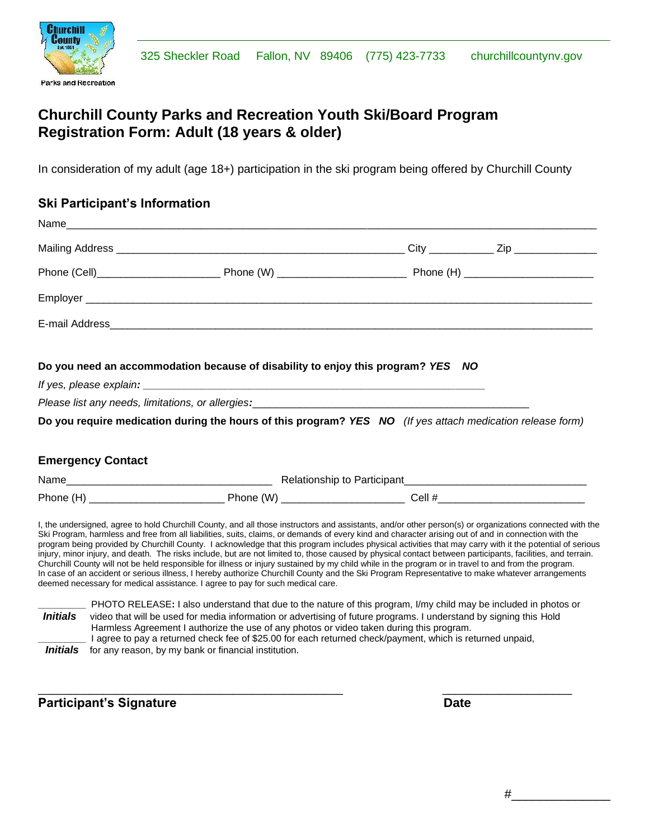

## **Churchill County Parks and Recreation Youth Ski/Board Program Registration Form: Adult (18 years & older)**

In consideration of my adult (age 18+) participation in the ski program being offered by Churchill County

#### **Ski Participant's Information**

Ī

|                          | Do you need an accommodation because of disability to enjoy this program? YES NO                                                                                                                                               |  |
|--------------------------|--------------------------------------------------------------------------------------------------------------------------------------------------------------------------------------------------------------------------------|--|
|                          |                                                                                                                                                                                                                                |  |
|                          | Please list any needs, limitations, or allergies: entertainment contains a series of the control of the control of the control of the control of the control of the control of the control of the control of the control of th |  |
|                          | Do you require medication during the hours of this program? YES NO (If yes attach medication release form)                                                                                                                     |  |
| <b>Emergency Contact</b> |                                                                                                                                                                                                                                |  |
|                          |                                                                                                                                                                                                                                |  |
|                          |                                                                                                                                                                                                                                |  |

\_\_\_\_\_\_\_\_\_\_\_\_\_\_\_\_\_\_\_\_\_\_\_\_\_\_\_\_\_\_\_\_\_\_\_\_\_\_\_\_\_\_\_\_\_\_\_ \_\_\_\_\_\_\_\_\_\_\_\_\_\_\_\_\_\_\_\_

*Initials* for any reason, by my bank or financial institution.

**Participant's Signature Date**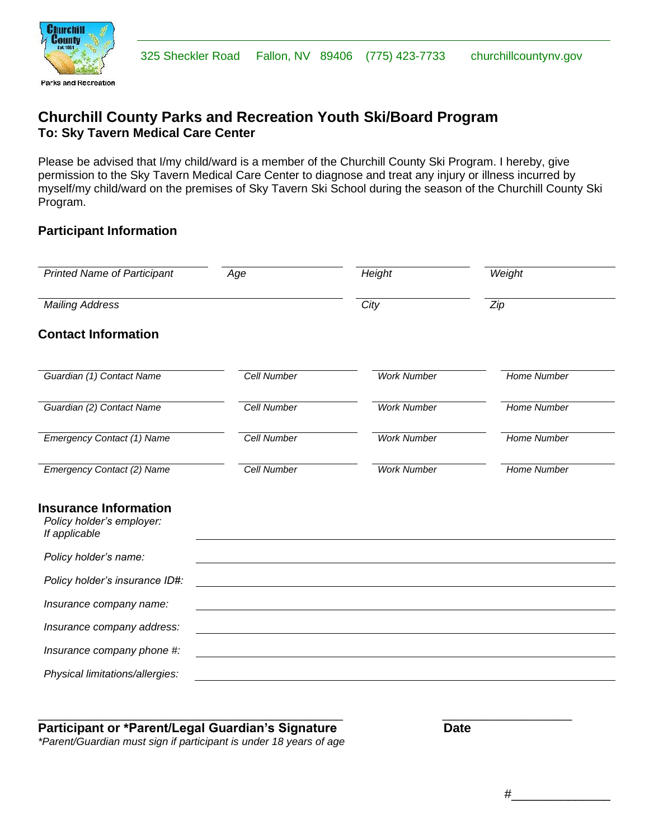

Ī

### **Churchill County Parks and Recreation Youth Ski/Board Program To: Sky Tavern Medical Care Center**

Please be advised that I/my child/ward is a member of the Churchill County Ski Program. I hereby, give permission to the Sky Tavern Medical Care Center to diagnose and treat any injury or illness incurred by myself/my child/ward on the premises of Sky Tavern Ski School during the season of the Churchill County Ski Program.

#### **Participant Information**

| <b>Printed Name of Participant</b>                                         | Age                | Height             | Weight             |
|----------------------------------------------------------------------------|--------------------|--------------------|--------------------|
| <b>Mailing Address</b>                                                     |                    | City               | Zip                |
| <b>Contact Information</b>                                                 |                    |                    |                    |
| Guardian (1) Contact Name                                                  | <b>Cell Number</b> | <b>Work Number</b> | <b>Home Number</b> |
| Guardian (2) Contact Name                                                  | Cell Number        | <b>Work Number</b> | Home Number        |
| <b>Emergency Contact (1) Name</b>                                          | <b>Cell Number</b> | <b>Work Number</b> | <b>Home Number</b> |
| Emergency Contact (2) Name                                                 | <b>Cell Number</b> | <b>Work Number</b> | <b>Home Number</b> |
| <b>Insurance Information</b><br>Policy holder's employer:<br>If applicable |                    |                    |                    |
| Policy holder's name:                                                      |                    |                    |                    |
| Policy holder's insurance ID#:                                             |                    |                    |                    |
| Insurance company name:                                                    |                    |                    |                    |
| Insurance company address:                                                 |                    |                    |                    |
| Insurance company phone #:                                                 |                    |                    |                    |
| Physical limitations/allergies:                                            |                    |                    |                    |

\_\_\_\_\_\_\_\_\_\_\_\_\_\_\_\_\_\_\_\_\_\_\_\_\_\_\_\_\_\_\_\_\_\_\_\_\_\_\_\_\_\_\_\_\_\_\_ \_\_\_\_\_\_\_\_\_\_\_\_\_\_\_\_\_\_\_\_

### Participant or \*Parent/Legal Guardian's Signature **Date** Date

*\*Parent/Guardian must sign if participant is under 18 years of age*